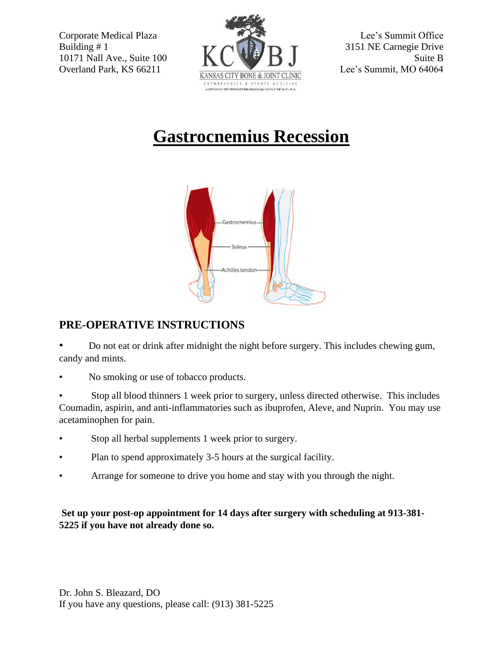

## **Gastrocnemius Recession**



## **PRE-OPERATIVE INSTRUCTIONS**

• Do not eat or drink after midnight the night before surgery. This includes chewing gum, candy and mints.

• No smoking or use of tobacco products.

• Stop all blood thinners 1 week prior to surgery, unless directed otherwise. This includes Coumadin, aspirin, and anti-inflammatories such as ibuprofen, Aleve, and Nuprin. You may use acetaminophen for pain.

- Stop all herbal supplements 1 week prior to surgery.
- Plan to spend approximately 3-5 hours at the surgical facility.
- Arrange for someone to drive you home and stay with you through the night.

**Set up your post-op appointment for 14 days after surgery with scheduling at 913-381- 5225 if you have not already done so.**